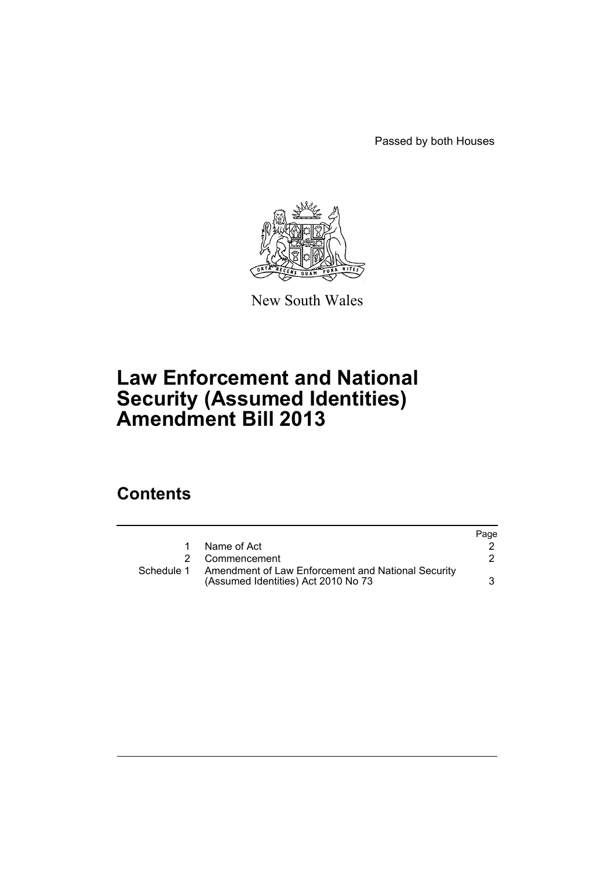Passed by both Houses



New South Wales

# **Law Enforcement and National Security (Assumed Identities) Amendment Bill 2013**

## **Contents**

|            |                                                                                           | Page |
|------------|-------------------------------------------------------------------------------------------|------|
| 1.         | Name of Act                                                                               |      |
|            | 2 Commencement                                                                            |      |
| Schedule 1 | Amendment of Law Enforcement and National Security<br>(Assumed Identities) Act 2010 No 73 |      |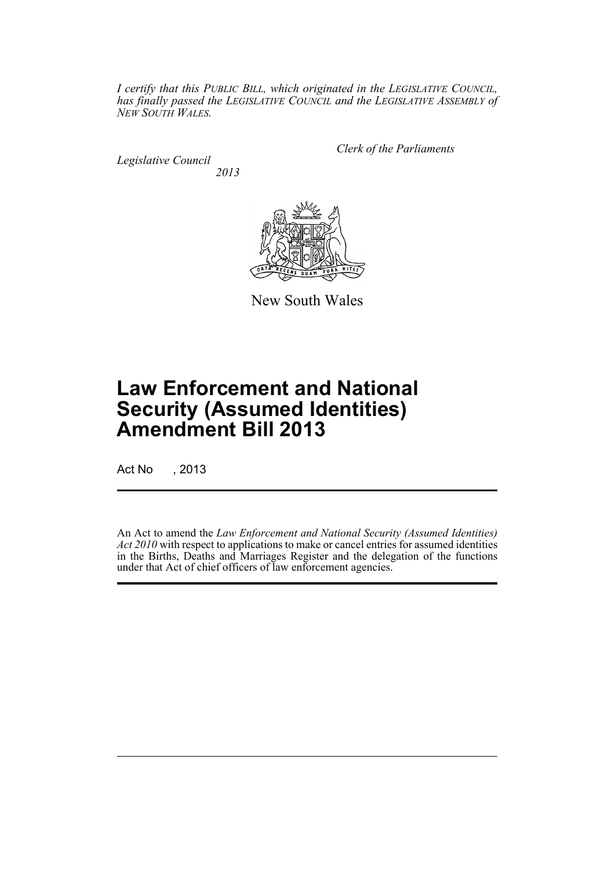*I certify that this PUBLIC BILL, which originated in the LEGISLATIVE COUNCIL, has finally passed the LEGISLATIVE COUNCIL and the LEGISLATIVE ASSEMBLY of NEW SOUTH WALES.*

*Legislative Council 2013* *Clerk of the Parliaments*



New South Wales

# **Law Enforcement and National Security (Assumed Identities) Amendment Bill 2013**

Act No , 2013

An Act to amend the *Law Enforcement and National Security (Assumed Identities) Act 2010* with respect to applications to make or cancel entries for assumed identities in the Births, Deaths and Marriages Register and the delegation of the functions under that Act of chief officers of law enforcement agencies.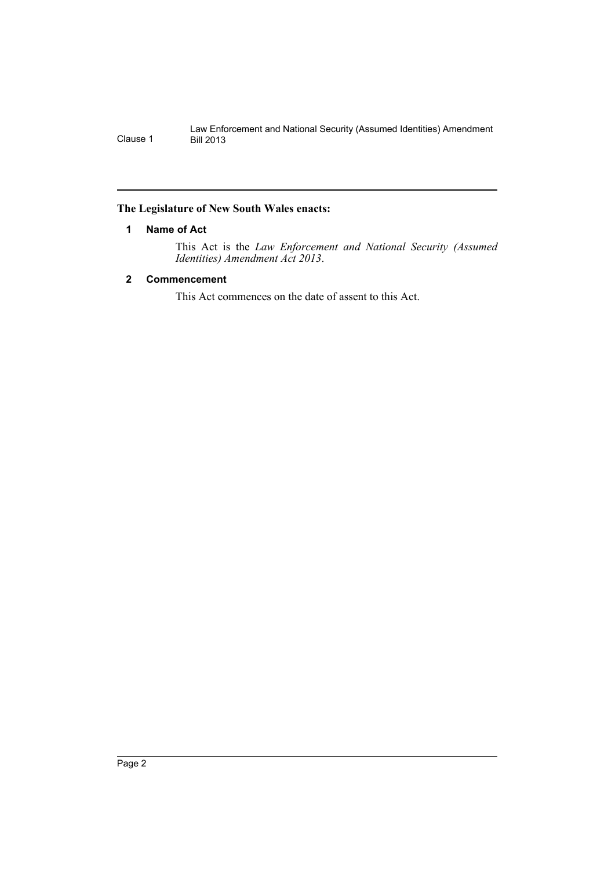#### <span id="page-2-0"></span>**The Legislature of New South Wales enacts:**

#### **1 Name of Act**

This Act is the *Law Enforcement and National Security (Assumed Identities) Amendment Act 2013*.

#### <span id="page-2-1"></span>**2 Commencement**

This Act commences on the date of assent to this Act.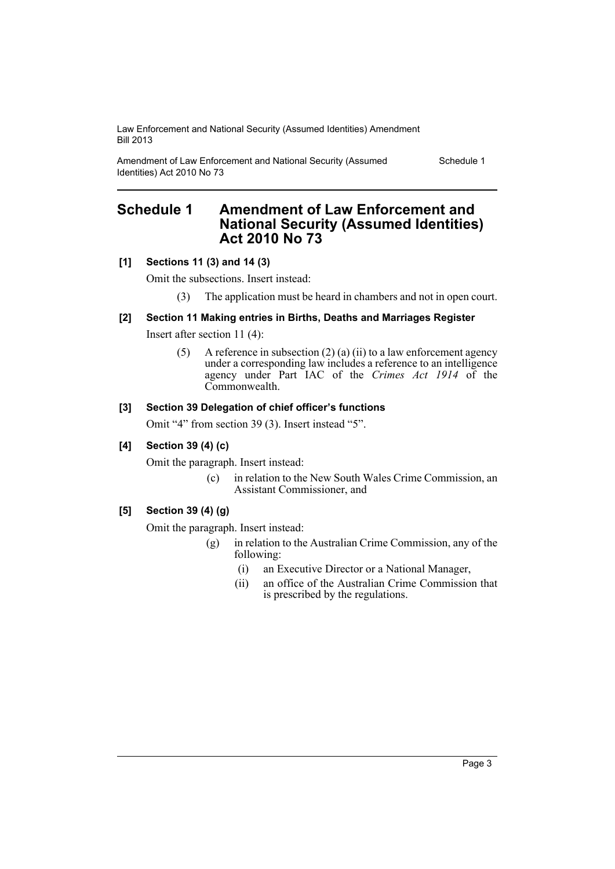Law Enforcement and National Security (Assumed Identities) Amendment Bill 2013

Amendment of Law Enforcement and National Security (Assumed Identities) Act 2010 No 73

Schedule 1

### <span id="page-3-0"></span>**Schedule 1 Amendment of Law Enforcement and National Security (Assumed Identities) Act 2010 No 73**

#### **[1] Sections 11 (3) and 14 (3)**

Omit the subsections. Insert instead:

(3) The application must be heard in chambers and not in open court.

#### **[2] Section 11 Making entries in Births, Deaths and Marriages Register**

Insert after section 11 (4):

(5) A reference in subsection (2) (a) (ii) to a law enforcement agency under a corresponding law includes a reference to an intelligence agency under Part IAC of the *Crimes Act 1914* of the Commonwealth.

#### **[3] Section 39 Delegation of chief officer's functions**

Omit "4" from section 39 (3). Insert instead "5".

#### **[4] Section 39 (4) (c)**

Omit the paragraph. Insert instead:

(c) in relation to the New South Wales Crime Commission, an Assistant Commissioner, and

#### **[5] Section 39 (4) (g)**

Omit the paragraph. Insert instead:

- (g) in relation to the Australian Crime Commission, any of the following:
	- (i) an Executive Director or a National Manager,
	- (ii) an office of the Australian Crime Commission that is prescribed by the regulations.